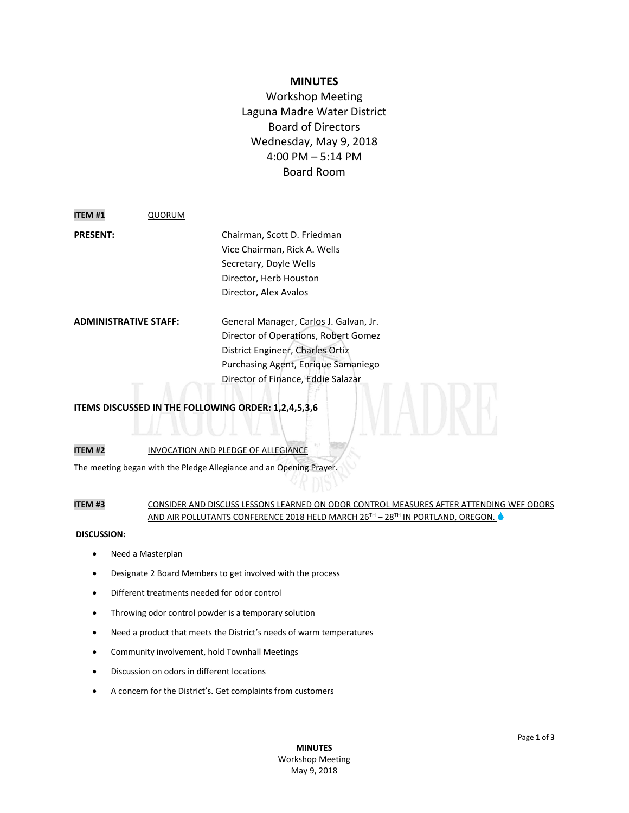# **MINUTES**

Workshop Meeting Laguna Madre Water District Board of Directors Wednesday, May 9, 2018 4:00 PM – 5:14 PM Board Room

**ITEM #1** QUORUM

**PRESENT:** Chairman, Scott D. Friedman Vice Chairman, Rick A. Wells Secretary, Doyle Wells Director, Herb Houston Director, Alex Avalos

**ADMINISTRATIVE STAFF:** General Manager, Carlos J. Galvan, Jr. Director of Operations, Robert Gomez District Engineer, Charles Ortiz Purchasing Agent, Enrique Samaniego Director of Finance, Eddie Salazar

# **ITEMS DISCUSSED IN THE FOLLOWING ORDER: 1,2,4,5,3,6**

# **ITEM #2** INVOCATION AND PLEDGE OF ALLEGIANCE

The meeting began with the Pledge Allegiance and an Opening Prayer.

## **ITEM #3** CONSIDER AND DISCUSS LESSONS LEARNED ON ODOR CONTROL MEASURES AFTER ATTENDING WEF ODORS AND AIR POLLUTANTS CONFERENCE 2018 HELD MARCH 26<sup>TH</sup> – 28<sup>TH</sup> IN PORTLAND, OREGON.

#### **DISCUSSION:**

- Need a Masterplan
- Designate 2 Board Members to get involved with the process
- Different treatments needed for odor control
- Throwing odor control powder is a temporary solution
- Need a product that meets the District's needs of warm temperatures
- Community involvement, hold Townhall Meetings
- Discussion on odors in different locations
- A concern for the District's. Get complaints from customers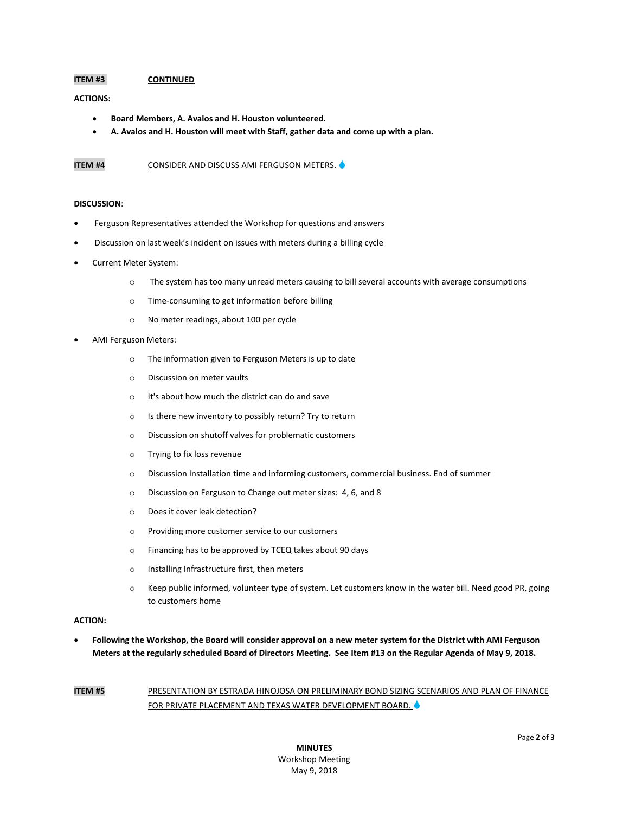## **ITEM #3 CONTINUED**

#### **ACTIONS:**

- **Board Members, A. Avalos and H. Houston volunteered.**
- **A. Avalos and H. Houston will meet with Staff, gather data and come up with a plan.**

### **ITEM #4** CONSIDER AND DISCUSS AMI FERGUSON METERS.

### **DISCUSSION**:

- Ferguson Representatives attended the Workshop for questions and answers
- Discussion on last week's incident on issues with meters during a billing cycle
- Current Meter System:
	- o The system has too many unread meters causing to bill several accounts with average consumptions
	- o Time-consuming to get information before billing
	- o No meter readings, about 100 per cycle
- AMI Ferguson Meters:
	- o The information given to Ferguson Meters is up to date
	- o Discussion on meter vaults
	- o It's about how much the district can do and save
	- o Is there new inventory to possibly return? Try to return
	- o Discussion on shutoff valves for problematic customers
	- o Trying to fix loss revenue
	- o Discussion Installation time and informing customers, commercial business. End of summer
	- o Discussion on Ferguson to Change out meter sizes: 4, 6, and 8
	- o Does it cover leak detection?
	- o Providing more customer service to our customers
	- o Financing has to be approved by TCEQ takes about 90 days
	- o Installing Infrastructure first, then meters
	- o Keep public informed, volunteer type of system. Let customers know in the water bill. Need good PR, going to customers home

#### **ACTION:**

 **Following the Workshop, the Board will consider approval on a new meter system for the District with AMI Ferguson Meters at the regularly scheduled Board of Directors Meeting. See Item #13 on the Regular Agenda of May 9, 2018.**

**ITEM #5** PRESENTATION BY ESTRADA HINOJOSA ON PRELIMINARY BOND SIZING SCENARIOS AND PLAN OF FINANCE FOR PRIVATE PLACEMENT AND TEXAS WATER DEVELOPMENT BOARD.